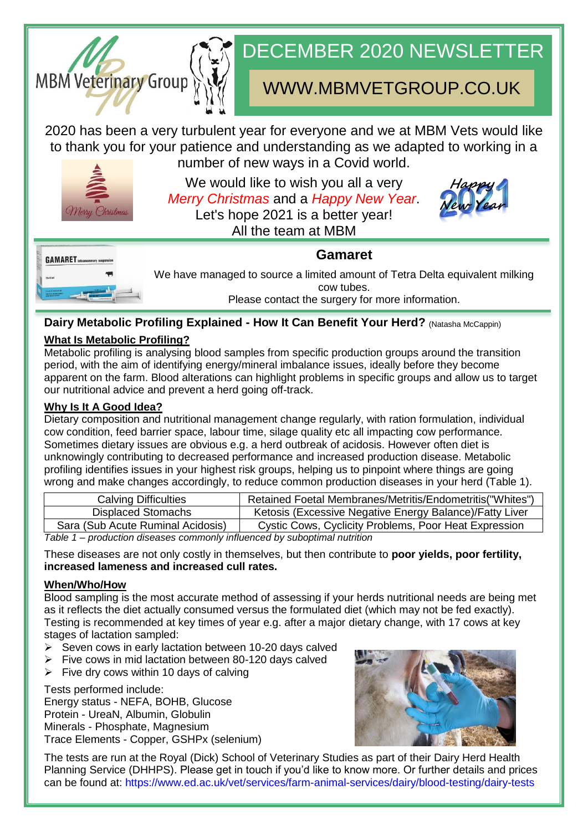

# DECEMBER 2020 NEWSLETTER

# WWW.MBMVETGROUP.CO.UK

2020 has been a very turbulent year for everyone and we at MBM Vets would like to thank you for your patience and understanding as we adapted to working in a number of new ways in a Covid world.



We would like to wish you all a very *Merry Christmas* and a *Happy New Year*. Let's hope 2021 is a better year! All the team at MBM





We have managed to source a limited amount of Tetra Delta equivalent milking cow tubes. Please contact the surgery for more information.

**Gamaret**

# **Dairy Metabolic Profiling Explained - How It Can Benefit Your Herd?** (Natasha McCappin)

# **What Is Metabolic Profiling?**

Metabolic profiling is analysing blood samples from specific production groups around the transition period, with the aim of identifying energy/mineral imbalance issues, ideally before they become apparent on the farm. Blood alterations can highlight problems in specific groups and allow us to target our nutritional advice and prevent a herd going off-track.

### **Why Is It A Good Idea?**

Dietary composition and nutritional management change regularly, with ration formulation, individual cow condition, feed barrier space, labour time, silage quality etc all impacting cow performance. Sometimes dietary issues are obvious e.g. a herd outbreak of acidosis. However often diet is unknowingly contributing to decreased performance and increased production disease. Metabolic profiling identifies issues in your highest risk groups, helping us to pinpoint where things are going wrong and make changes accordingly, to reduce common production diseases in your herd (Table 1).

| <b>Calving Difficulties</b>                                               | Retained Foetal Membranes/Metritis/Endometritis("Whites") |
|---------------------------------------------------------------------------|-----------------------------------------------------------|
| Displaced Stomachs                                                        | Ketosis (Excessive Negative Energy Balance)/Fatty Liver   |
| Sara (Sub Acute Ruminal Acidosis)                                         | Cystic Cows, Cyclicity Problems, Poor Heat Expression     |
| Teble de suedication diseases commonly influenced bu subsatived nutrition |                                                           |

*Table 1 – production diseases commonly influenced by suboptimal nutrition*

These diseases are not only costly in themselves, but then contribute to **poor yields, poor fertility, increased lameness and increased cull rates.**

## **When/Who/How**

Blood sampling is the most accurate method of assessing if your herds nutritional needs are being met as it reflects the diet actually consumed versus the formulated diet (which may not be fed exactly). Testing is recommended at key times of year e.g. after a major dietary change, with 17 cows at key stages of lactation sampled:

- $\triangleright$  Seven cows in early lactation between 10-20 days calved
- Five cows in mid lactation between 80-120 days calved
- $\triangleright$  Five dry cows within 10 days of calving

Tests performed include:

Energy status - NEFA, BOHB, Glucose Protein - UreaN, Albumin, Globulin Minerals - Phosphate, Magnesium Trace Elements - Copper, GSHPx (selenium)



The tests are run at the Royal (Dick) School of Veterinary Studies as part of their Dairy Herd Health Planning Service (DHHPS). Please get in touch if you'd like to know more. Or further details and prices can be found at: [https://www.ed.ac.uk/vet/services/farm-animal-services/dairy/blood-testing/dairy-tests](about:blank)